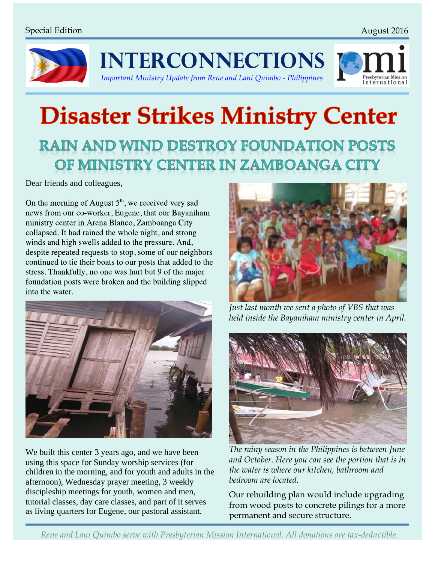nternationa



**INTERCONNECTIONS** 



## **Disaster Strikes Ministry Center RAIN AND WIND DESTROY FOUNDATION POSTS** OF MINISTRY CENTER IN ZAMBOANGA CITY

Dear friends and colleagues,

On the morning of August  $5<sup>th</sup>$ , we received very sad news from our co-worker, Eugene, that our Bayaniham ministry center in Arena Blanco, Zamboanga City collapsed. It had rained the whole night, and strong winds and high swells added to the pressure. And, despite repeated requests to stop, some of our neighbors continued to tie their boats to our posts that added to the stress. Thankfully, no one was hurt but 9 of the major foundation posts were broken and the building slipped into the water.



We built this center 3 years ago, and we have been using this space for Sunday worship services (for children in the morning, and for youth and adults in the afternoon), Wednesday prayer meeting, 3 weekly discipleship meetings for youth, women and men, tutorial classes, day care classes, and part of it serves as living quarters for Eugene, our pastoral assistant.



*Just last month we sent a photo of VBS that was held inside the Bayaniham ministry center in April.*



*The rainy season in the Philippines is between June and October. Here you can see the portion that is in the water is where our kitchen, bathroom and bedroom are located.*

Our rebuilding plan would include upgrading from wood posts to concrete pilings for a more permanent and secure structure.

*Rene and Lani Quimbo serve with Presbyterian Mission International. All donations are tax-deductible.*